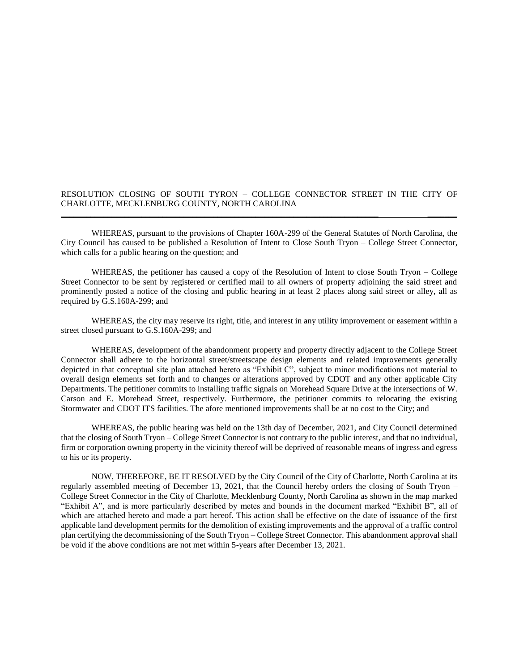## RESOLUTION CLOSING OF SOUTH TYRON – COLLEGE CONNECTOR STREET IN THE CITY OF CHARLOTTE, MECKLENBURG COUNTY, NORTH CAROLINA \_\_\_\_\_\_\_\_\_\_\_\_\_\_\_\_\_\_\_\_\_\_\_\_\_\_\_\_\_\_\_\_\_\_\_\_\_\_\_\_\_\_\_\_\_\_\_\_\_\_\_\_\_\_\_\_\_\_\_\_\_\_\_\_\_\_\_\_\_\_\_\_\_\_\_ \_\_\_\_\_\_\_

WHEREAS, pursuant to the provisions of Chapter 160A-299 of the General Statutes of North Carolina, the City Council has caused to be published a Resolution of Intent to Close South Tryon – College Street Connector, which calls for a public hearing on the question; and

WHEREAS, the petitioner has caused a copy of the Resolution of Intent to close South Tryon – College Street Connector to be sent by registered or certified mail to all owners of property adjoining the said street and prominently posted a notice of the closing and public hearing in at least 2 places along said street or alley, all as required by G.S.160A-299; and

WHEREAS, the city may reserve its right, title, and interest in any utility improvement or easement within a street closed pursuant to G.S.160A-299; and

WHEREAS, development of the abandonment property and property directly adjacent to the College Street Connector shall adhere to the horizontal street/streetscape design elements and related improvements generally depicted in that conceptual site plan attached hereto as "Exhibit C", subject to minor modifications not material to overall design elements set forth and to changes or alterations approved by CDOT and any other applicable City Departments. The petitioner commits to installing traffic signals on Morehead Square Drive at the intersections of W. Carson and E. Morehead Street, respectively. Furthermore, the petitioner commits to relocating the existing Stormwater and CDOT ITS facilities. The afore mentioned improvements shall be at no cost to the City; and

WHEREAS, the public hearing was held on the 13th day of December, 2021, and City Council determined that the closing of South Tryon – College Street Connector is not contrary to the public interest, and that no individual, firm or corporation owning property in the vicinity thereof will be deprived of reasonable means of ingress and egress to his or its property.

NOW, THEREFORE, BE IT RESOLVED by the City Council of the City of Charlotte, North Carolina at its regularly assembled meeting of December 13, 2021, that the Council hereby orders the closing of South Tryon – College Street Connector in the City of Charlotte, Mecklenburg County, North Carolina as shown in the map marked "Exhibit A", and is more particularly described by metes and bounds in the document marked "Exhibit B", all of which are attached hereto and made a part hereof. This action shall be effective on the date of issuance of the first applicable land development permits for the demolition of existing improvements and the approval of a traffic control plan certifying the decommissioning of the South Tryon – College Street Connector. This abandonment approval shall be void if the above conditions are not met within 5-years after December 13, 2021.